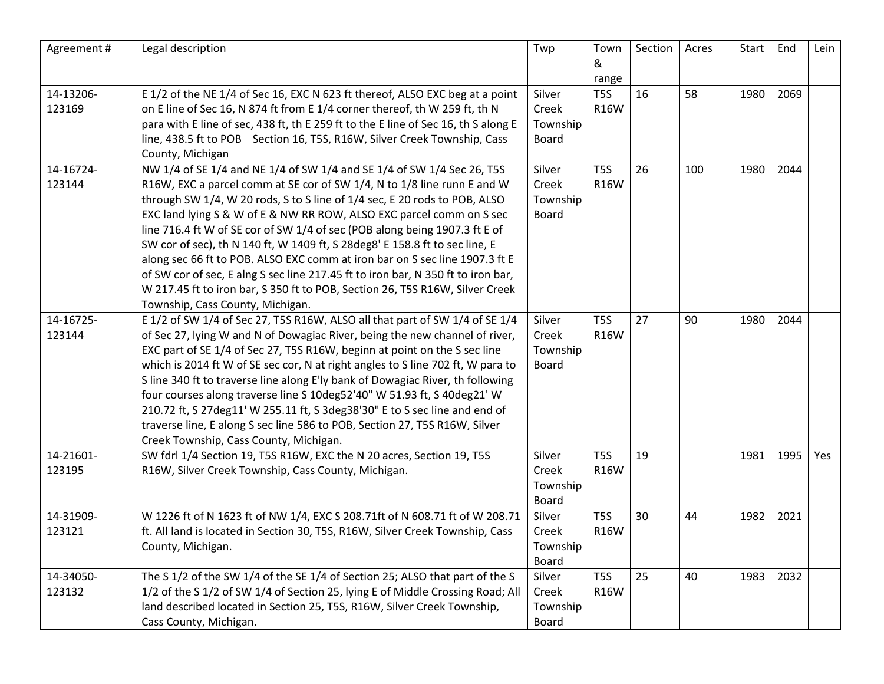| Agreement# | Legal description                                                                  | Twp      | Town             | Section | Acres | Start | End  | Lein |
|------------|------------------------------------------------------------------------------------|----------|------------------|---------|-------|-------|------|------|
|            |                                                                                    |          | &                |         |       |       |      |      |
|            |                                                                                    |          | range            |         |       |       |      |      |
| 14-13206-  | E 1/2 of the NE 1/4 of Sec 16, EXC N 623 ft thereof, ALSO EXC beg at a point       | Silver   | T <sub>5</sub> S | 16      | 58    | 1980  | 2069 |      |
| 123169     | on E line of Sec 16, N 874 ft from E 1/4 corner thereof, th W 259 ft, th N         | Creek    | <b>R16W</b>      |         |       |       |      |      |
|            | para with E line of sec, 438 ft, th E 259 ft to the E line of Sec 16, th S along E | Township |                  |         |       |       |      |      |
|            | line, 438.5 ft to POB Section 16, T5S, R16W, Silver Creek Township, Cass           | Board    |                  |         |       |       |      |      |
|            | County, Michigan                                                                   |          |                  |         |       |       |      |      |
| 14-16724-  | NW 1/4 of SE 1/4 and NE 1/4 of SW 1/4 and SE 1/4 of SW 1/4 Sec 26, T5S             | Silver   | T <sub>5</sub> S | 26      | 100   | 1980  | 2044 |      |
| 123144     | R16W, EXC a parcel comm at SE cor of SW 1/4, N to 1/8 line runn E and W            | Creek    | <b>R16W</b>      |         |       |       |      |      |
|            | through SW 1/4, W 20 rods, S to S line of 1/4 sec, E 20 rods to POB, ALSO          | Township |                  |         |       |       |      |      |
|            | EXC land lying S & W of E & NW RR ROW, ALSO EXC parcel comm on S sec               | Board    |                  |         |       |       |      |      |
|            | line 716.4 ft W of SE cor of SW 1/4 of sec (POB along being 1907.3 ft E of         |          |                  |         |       |       |      |      |
|            | SW cor of sec), th N 140 ft, W 1409 ft, S 28deg8' E 158.8 ft to sec line, E        |          |                  |         |       |       |      |      |
|            | along sec 66 ft to POB. ALSO EXC comm at iron bar on S sec line 1907.3 ft E        |          |                  |         |       |       |      |      |
|            | of SW cor of sec, E alng S sec line 217.45 ft to iron bar, N 350 ft to iron bar,   |          |                  |         |       |       |      |      |
|            | W 217.45 ft to iron bar, S 350 ft to POB, Section 26, T5S R16W, Silver Creek       |          |                  |         |       |       |      |      |
|            | Township, Cass County, Michigan.                                                   |          |                  |         |       |       |      |      |
| 14-16725-  | E 1/2 of SW 1/4 of Sec 27, T5S R16W, ALSO all that part of SW 1/4 of SE 1/4        | Silver   | T <sub>5</sub> S | 27      | 90    | 1980  | 2044 |      |
| 123144     | of Sec 27, lying W and N of Dowagiac River, being the new channel of river,        | Creek    | <b>R16W</b>      |         |       |       |      |      |
|            | EXC part of SE 1/4 of Sec 27, T5S R16W, beginn at point on the S sec line          | Township |                  |         |       |       |      |      |
|            | which is 2014 ft W of SE sec cor, N at right angles to S line 702 ft, W para to    | Board    |                  |         |       |       |      |      |
|            | S line 340 ft to traverse line along E'ly bank of Dowagiac River, th following     |          |                  |         |       |       |      |      |
|            | four courses along traverse line S 10deg52'40" W 51.93 ft, S 40deg21' W            |          |                  |         |       |       |      |      |
|            | 210.72 ft, S 27deg11' W 255.11 ft, S 3deg38'30" E to S sec line and end of         |          |                  |         |       |       |      |      |
|            | traverse line, E along S sec line 586 to POB, Section 27, T5S R16W, Silver         |          |                  |         |       |       |      |      |
|            | Creek Township, Cass County, Michigan.                                             |          |                  |         |       |       |      |      |
| 14-21601-  | SW fdrl 1/4 Section 19, T5S R16W, EXC the N 20 acres, Section 19, T5S              | Silver   | T <sub>5</sub> S | 19      |       | 1981  | 1995 | Yes  |
| 123195     | R16W, Silver Creek Township, Cass County, Michigan.                                | Creek    | <b>R16W</b>      |         |       |       |      |      |
|            |                                                                                    | Township |                  |         |       |       |      |      |
|            |                                                                                    | Board    |                  |         |       |       |      |      |
| 14-31909-  | W 1226 ft of N 1623 ft of NW 1/4, EXC S 208.71ft of N 608.71 ft of W 208.71        | Silver   | T <sub>5</sub> S | 30      | 44    | 1982  | 2021 |      |
| 123121     | ft. All land is located in Section 30, T5S, R16W, Silver Creek Township, Cass      | Creek    | <b>R16W</b>      |         |       |       |      |      |
|            | County, Michigan.                                                                  | Township |                  |         |       |       |      |      |
|            |                                                                                    | Board    |                  |         |       |       |      |      |
| 14-34050-  | The S 1/2 of the SW 1/4 of the SE 1/4 of Section 25; ALSO that part of the S       | Silver   | T <sub>5</sub> S | 25      | 40    | 1983  | 2032 |      |
| 123132     | 1/2 of the S 1/2 of SW 1/4 of Section 25, lying E of Middle Crossing Road; All     | Creek    | <b>R16W</b>      |         |       |       |      |      |
|            | land described located in Section 25, T5S, R16W, Silver Creek Township,            | Township |                  |         |       |       |      |      |
|            | Cass County, Michigan.                                                             | Board    |                  |         |       |       |      |      |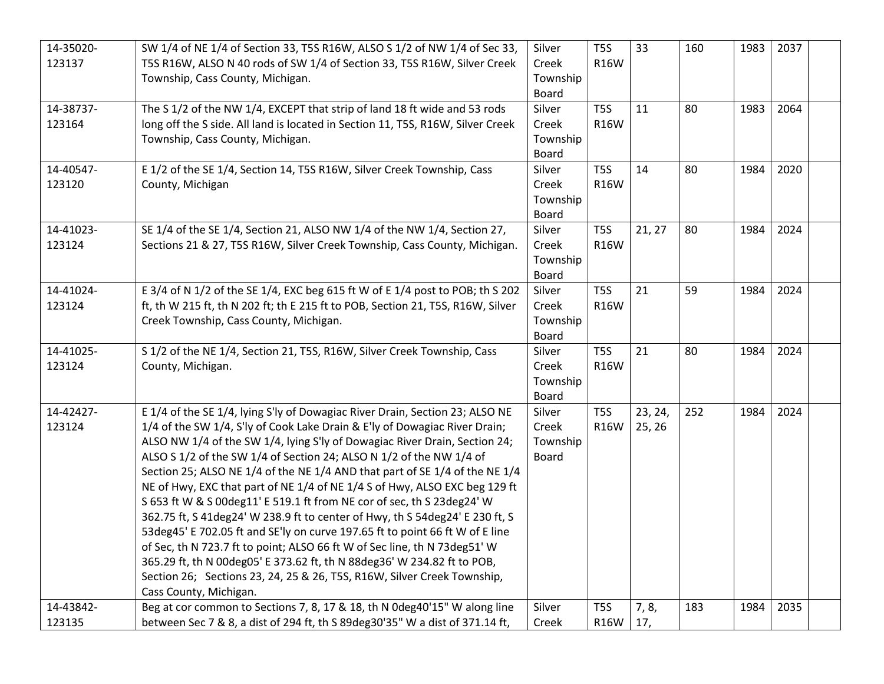| 14-35020- | SW 1/4 of NE 1/4 of Section 33, T5S R16W, ALSO S 1/2 of NW 1/4 of Sec 33,       | Silver       | T <sub>5</sub> S | 33      | 160 | 1983 | 2037 |  |
|-----------|---------------------------------------------------------------------------------|--------------|------------------|---------|-----|------|------|--|
| 123137    | T5S R16W, ALSO N 40 rods of SW 1/4 of Section 33, T5S R16W, Silver Creek        | Creek        | <b>R16W</b>      |         |     |      |      |  |
|           | Township, Cass County, Michigan.                                                | Township     |                  |         |     |      |      |  |
|           |                                                                                 | Board        |                  |         |     |      |      |  |
| 14-38737- | The S 1/2 of the NW 1/4, EXCEPT that strip of land 18 ft wide and 53 rods       | Silver       | T <sub>5</sub> S | 11      | 80  | 1983 | 2064 |  |
| 123164    | long off the S side. All land is located in Section 11, T5S, R16W, Silver Creek | Creek        | <b>R16W</b>      |         |     |      |      |  |
|           | Township, Cass County, Michigan.                                                | Township     |                  |         |     |      |      |  |
|           |                                                                                 | <b>Board</b> |                  |         |     |      |      |  |
| 14-40547- | E 1/2 of the SE 1/4, Section 14, T5S R16W, Silver Creek Township, Cass          | Silver       | T <sub>5</sub> S | 14      | 80  | 1984 | 2020 |  |
| 123120    | County, Michigan                                                                | Creek        | <b>R16W</b>      |         |     |      |      |  |
|           |                                                                                 | Township     |                  |         |     |      |      |  |
|           |                                                                                 | Board        |                  |         |     |      |      |  |
| 14-41023- | SE 1/4 of the SE 1/4, Section 21, ALSO NW 1/4 of the NW 1/4, Section 27,        | Silver       | T <sub>5</sub> S | 21, 27  | 80  | 1984 | 2024 |  |
| 123124    | Sections 21 & 27, T5S R16W, Silver Creek Township, Cass County, Michigan.       | Creek        | <b>R16W</b>      |         |     |      |      |  |
|           |                                                                                 | Township     |                  |         |     |      |      |  |
|           |                                                                                 | Board        |                  |         |     |      |      |  |
| 14-41024- | E 3/4 of N 1/2 of the SE 1/4, EXC beg 615 ft W of E 1/4 post to POB; th S 202   | Silver       | T <sub>5</sub> S | 21      | 59  | 1984 | 2024 |  |
| 123124    | ft, th W 215 ft, th N 202 ft; th E 215 ft to POB, Section 21, T5S, R16W, Silver | Creek        | <b>R16W</b>      |         |     |      |      |  |
|           | Creek Township, Cass County, Michigan.                                          | Township     |                  |         |     |      |      |  |
|           |                                                                                 | Board        |                  |         |     |      |      |  |
| 14-41025- | S 1/2 of the NE 1/4, Section 21, T5S, R16W, Silver Creek Township, Cass         | Silver       | T <sub>5</sub> S | 21      | 80  | 1984 | 2024 |  |
| 123124    | County, Michigan.                                                               | Creek        | <b>R16W</b>      |         |     |      |      |  |
|           |                                                                                 | Township     |                  |         |     |      |      |  |
|           |                                                                                 | <b>Board</b> |                  |         |     |      |      |  |
| 14-42427- | E 1/4 of the SE 1/4, lying S'ly of Dowagiac River Drain, Section 23; ALSO NE    | Silver       | T <sub>5</sub> S | 23, 24, | 252 | 1984 | 2024 |  |
| 123124    | 1/4 of the SW 1/4, S'ly of Cook Lake Drain & E'ly of Dowagiac River Drain;      | Creek        | <b>R16W</b>      | 25, 26  |     |      |      |  |
|           | ALSO NW 1/4 of the SW 1/4, lying S'ly of Dowagiac River Drain, Section 24;      | Township     |                  |         |     |      |      |  |
|           | ALSO S 1/2 of the SW 1/4 of Section 24; ALSO N 1/2 of the NW 1/4 of             | <b>Board</b> |                  |         |     |      |      |  |
|           | Section 25; ALSO NE 1/4 of the NE 1/4 AND that part of SE 1/4 of the NE 1/4     |              |                  |         |     |      |      |  |
|           | NE of Hwy, EXC that part of NE 1/4 of NE 1/4 S of Hwy, ALSO EXC beg 129 ft      |              |                  |         |     |      |      |  |
|           | S 653 ft W & S 00deg11' E 519.1 ft from NE cor of sec, th S 23deg24' W          |              |                  |         |     |      |      |  |
|           | 362.75 ft, S 41deg24' W 238.9 ft to center of Hwy, th S 54deg24' E 230 ft, S    |              |                  |         |     |      |      |  |
|           | 53deg45' E 702.05 ft and SE'ly on curve 197.65 ft to point 66 ft W of E line    |              |                  |         |     |      |      |  |
|           | of Sec, th N 723.7 ft to point; ALSO 66 ft W of Sec line, th N 73deg51' W       |              |                  |         |     |      |      |  |
|           | 365.29 ft, th N 00deg05' E 373.62 ft, th N 88deg36' W 234.82 ft to POB,         |              |                  |         |     |      |      |  |
|           | Section 26; Sections 23, 24, 25 & 26, T5S, R16W, Silver Creek Township,         |              |                  |         |     |      |      |  |
|           | Cass County, Michigan.                                                          |              |                  |         |     |      |      |  |
| 14-43842- | Beg at cor common to Sections 7, 8, 17 & 18, th N 0deg40'15" W along line       | Silver       | T <sub>5</sub> S | 7, 8,   | 183 | 1984 | 2035 |  |
| 123135    | between Sec 7 & 8, a dist of 294 ft, th S 89deg30'35" W a dist of 371.14 ft,    | Creek        | <b>R16W</b>      | 17,     |     |      |      |  |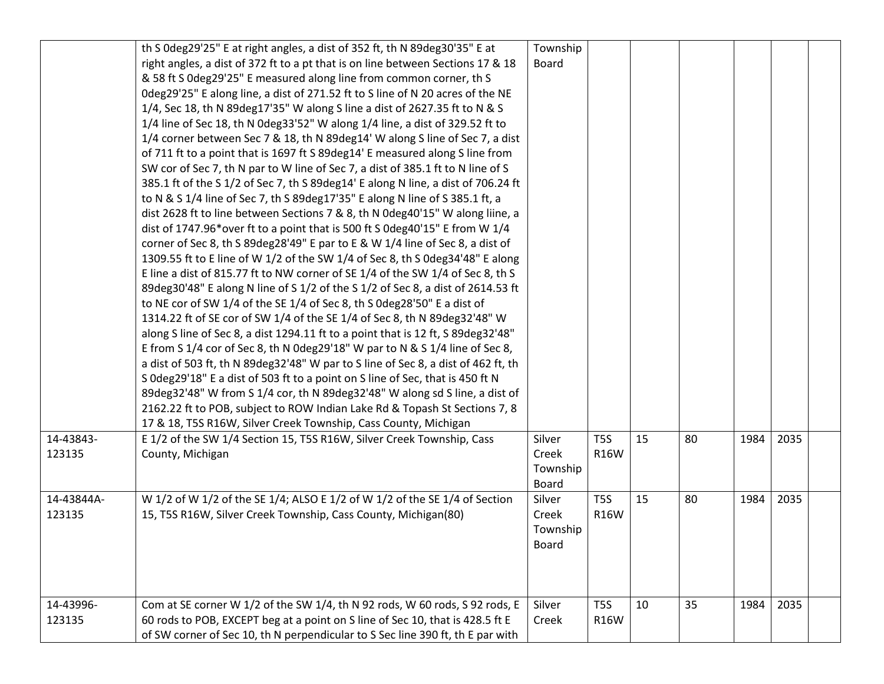|            | th S 0deg29'25" E at right angles, a dist of 352 ft, th N 89deg30'35" E at        | Township     |                  |    |    |      |      |  |
|------------|-----------------------------------------------------------------------------------|--------------|------------------|----|----|------|------|--|
|            | right angles, a dist of 372 ft to a pt that is on line between Sections 17 & 18   | Board        |                  |    |    |      |      |  |
|            | & 58 ft S 0deg29'25" E measured along line from common corner, th S               |              |                  |    |    |      |      |  |
|            | Odeg29'25" E along line, a dist of 271.52 ft to S line of N 20 acres of the NE    |              |                  |    |    |      |      |  |
|            | 1/4, Sec 18, th N 89deg17'35" W along S line a dist of 2627.35 ft to N & S        |              |                  |    |    |      |      |  |
|            | 1/4 line of Sec 18, th N 0deg33'52" W along 1/4 line, a dist of 329.52 ft to      |              |                  |    |    |      |      |  |
|            | 1/4 corner between Sec 7 & 18, th N 89deg14' W along S line of Sec 7, a dist      |              |                  |    |    |      |      |  |
|            | of 711 ft to a point that is 1697 ft S 89deg14' E measured along S line from      |              |                  |    |    |      |      |  |
|            | SW cor of Sec 7, th N par to W line of Sec 7, a dist of 385.1 ft to N line of S   |              |                  |    |    |      |      |  |
|            | 385.1 ft of the S 1/2 of Sec 7, th S 89deg14' E along N line, a dist of 706.24 ft |              |                  |    |    |      |      |  |
|            | to N & S 1/4 line of Sec 7, th S 89deg17'35" E along N line of S 385.1 ft, a      |              |                  |    |    |      |      |  |
|            | dist 2628 ft to line between Sections 7 & 8, th N 0deg40'15" W along liine, a     |              |                  |    |    |      |      |  |
|            | dist of 1747.96*over ft to a point that is 500 ft S 0deg40'15" E from W 1/4       |              |                  |    |    |      |      |  |
|            | corner of Sec 8, th S 89deg28'49" E par to E & W 1/4 line of Sec 8, a dist of     |              |                  |    |    |      |      |  |
|            | 1309.55 ft to E line of W 1/2 of the SW 1/4 of Sec 8, th S 0deg34'48" E along     |              |                  |    |    |      |      |  |
|            | E line a dist of 815.77 ft to NW corner of SE 1/4 of the SW 1/4 of Sec 8, th S    |              |                  |    |    |      |      |  |
|            | 89deg30'48" E along N line of S 1/2 of the S 1/2 of Sec 8, a dist of 2614.53 ft   |              |                  |    |    |      |      |  |
|            | to NE cor of SW 1/4 of the SE 1/4 of Sec 8, th S 0deg28'50" E a dist of           |              |                  |    |    |      |      |  |
|            | 1314.22 ft of SE cor of SW 1/4 of the SE 1/4 of Sec 8, th N 89deg32'48" W         |              |                  |    |    |      |      |  |
|            | along S line of Sec 8, a dist 1294.11 ft to a point that is 12 ft, S 89deg32'48"  |              |                  |    |    |      |      |  |
|            | E from S 1/4 cor of Sec 8, th N 0deg29'18" W par to N & S 1/4 line of Sec 8,      |              |                  |    |    |      |      |  |
|            | a dist of 503 ft, th N 89deg32'48" W par to S line of Sec 8, a dist of 462 ft, th |              |                  |    |    |      |      |  |
|            | S 0deg29'18" E a dist of 503 ft to a point on S line of Sec, that is 450 ft N     |              |                  |    |    |      |      |  |
|            | 89deg32'48" W from S 1/4 cor, th N 89deg32'48" W along sd S line, a dist of       |              |                  |    |    |      |      |  |
|            | 2162.22 ft to POB, subject to ROW Indian Lake Rd & Topash St Sections 7, 8        |              |                  |    |    |      |      |  |
|            | 17 & 18, T5S R16W, Silver Creek Township, Cass County, Michigan                   |              |                  |    |    |      |      |  |
| 14-43843-  | E 1/2 of the SW 1/4 Section 15, T5S R16W, Silver Creek Township, Cass             | Silver       | T <sub>5</sub> S | 15 | 80 | 1984 | 2035 |  |
| 123135     | County, Michigan                                                                  | Creek        | <b>R16W</b>      |    |    |      |      |  |
|            |                                                                                   | Township     |                  |    |    |      |      |  |
|            |                                                                                   | <b>Board</b> |                  |    |    |      |      |  |
| 14-43844A- | W 1/2 of W 1/2 of the SE 1/4; ALSO E 1/2 of W 1/2 of the SE 1/4 of Section        | Silver       | T <sub>5</sub> S | 15 | 80 | 1984 | 2035 |  |
| 123135     | 15, T5S R16W, Silver Creek Township, Cass County, Michigan(80)                    | Creek        | <b>R16W</b>      |    |    |      |      |  |
|            |                                                                                   | Township     |                  |    |    |      |      |  |
|            |                                                                                   | Board        |                  |    |    |      |      |  |
|            |                                                                                   |              |                  |    |    |      |      |  |
|            |                                                                                   |              |                  |    |    |      |      |  |
| 14-43996-  | Com at SE corner W 1/2 of the SW 1/4, th N 92 rods, W 60 rods, S 92 rods, E       | Silver       | T <sub>5</sub> S | 10 | 35 | 1984 | 2035 |  |
| 123135     | 60 rods to POB, EXCEPT beg at a point on S line of Sec 10, that is 428.5 ft E     | Creek        | <b>R16W</b>      |    |    |      |      |  |
|            | of SW corner of Sec 10, th N perpendicular to S Sec line 390 ft, th E par with    |              |                  |    |    |      |      |  |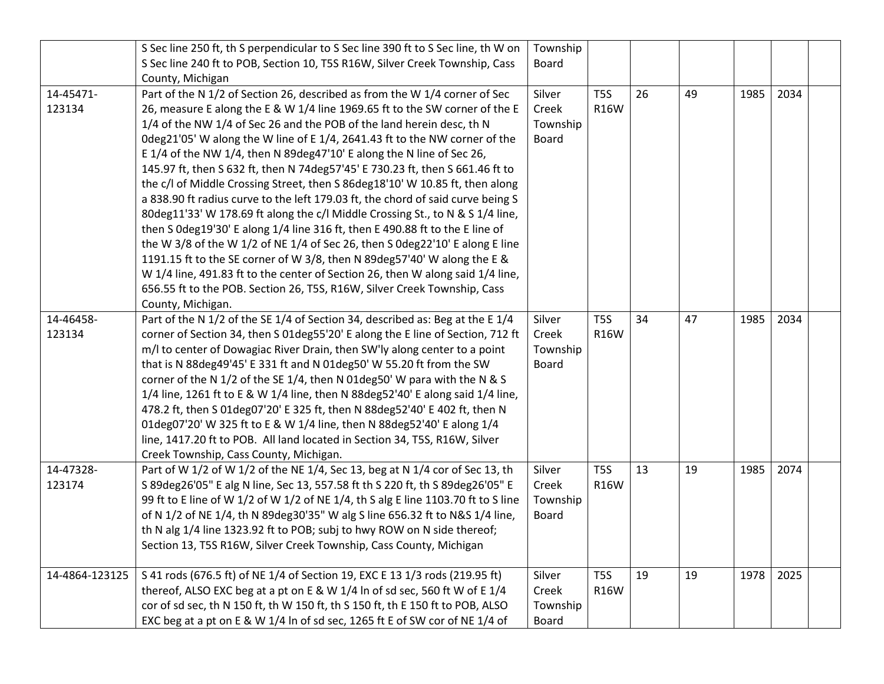|                | S Sec line 250 ft, th S perpendicular to S Sec line 390 ft to S Sec line, th W on | Township |                  |    |    |      |      |  |
|----------------|-----------------------------------------------------------------------------------|----------|------------------|----|----|------|------|--|
|                | S Sec line 240 ft to POB, Section 10, T5S R16W, Silver Creek Township, Cass       | Board    |                  |    |    |      |      |  |
|                | County, Michigan                                                                  |          |                  |    |    |      |      |  |
| 14-45471-      | Part of the N 1/2 of Section 26, described as from the W 1/4 corner of Sec        | Silver   | T <sub>5</sub> S | 26 | 49 | 1985 | 2034 |  |
| 123134         | 26, measure E along the E & W 1/4 line 1969.65 ft to the SW corner of the E       | Creek    | <b>R16W</b>      |    |    |      |      |  |
|                | 1/4 of the NW 1/4 of Sec 26 and the POB of the land herein desc, th N             | Township |                  |    |    |      |      |  |
|                | Odeg21'05' W along the W line of E 1/4, 2641.43 ft to the NW corner of the        | Board    |                  |    |    |      |      |  |
|                | E 1/4 of the NW 1/4, then N 89deg47'10' E along the N line of Sec 26,             |          |                  |    |    |      |      |  |
|                | 145.97 ft, then S 632 ft, then N 74deg57'45' E 730.23 ft, then S 661.46 ft to     |          |                  |    |    |      |      |  |
|                | the c/l of Middle Crossing Street, then S 86deg18'10' W 10.85 ft, then along      |          |                  |    |    |      |      |  |
|                | a 838.90 ft radius curve to the left 179.03 ft, the chord of said curve being S   |          |                  |    |    |      |      |  |
|                | 80deg11'33' W 178.69 ft along the c/l Middle Crossing St., to N & S 1/4 line,     |          |                  |    |    |      |      |  |
|                | then S 0deg19'30' E along 1/4 line 316 ft, then E 490.88 ft to the E line of      |          |                  |    |    |      |      |  |
|                | the W 3/8 of the W 1/2 of NE 1/4 of Sec 26, then S 0deg22'10' E along E line      |          |                  |    |    |      |      |  |
|                | 1191.15 ft to the SE corner of W 3/8, then N 89deg57'40' W along the E &          |          |                  |    |    |      |      |  |
|                | W 1/4 line, 491.83 ft to the center of Section 26, then W along said 1/4 line,    |          |                  |    |    |      |      |  |
|                | 656.55 ft to the POB. Section 26, T5S, R16W, Silver Creek Township, Cass          |          |                  |    |    |      |      |  |
|                | County, Michigan.                                                                 |          |                  |    |    |      |      |  |
| 14-46458-      | Part of the N 1/2 of the SE 1/4 of Section 34, described as: Beg at the E 1/4     | Silver   | T <sub>5</sub> S | 34 | 47 | 1985 | 2034 |  |
| 123134         | corner of Section 34, then S 01deg55'20' E along the E line of Section, 712 ft    | Creek    | <b>R16W</b>      |    |    |      |      |  |
|                | m/I to center of Dowagiac River Drain, then SW'ly along center to a point         | Township |                  |    |    |      |      |  |
|                | that is N 88deg49'45' E 331 ft and N 01deg50' W 55.20 ft from the SW              | Board    |                  |    |    |      |      |  |
|                | corner of the N 1/2 of the SE 1/4, then N 01deg50' W para with the N & S          |          |                  |    |    |      |      |  |
|                | 1/4 line, 1261 ft to E & W 1/4 line, then N 88deg52'40' E along said 1/4 line,    |          |                  |    |    |      |      |  |
|                | 478.2 ft, then S 01deg07'20' E 325 ft, then N 88deg52'40' E 402 ft, then N        |          |                  |    |    |      |      |  |
|                | 01deg07'20' W 325 ft to E & W 1/4 line, then N 88deg52'40' E along 1/4            |          |                  |    |    |      |      |  |
|                | line, 1417.20 ft to POB. All land located in Section 34, T5S, R16W, Silver        |          |                  |    |    |      |      |  |
|                | Creek Township, Cass County, Michigan.                                            |          |                  |    |    |      |      |  |
| 14-47328-      | Part of W 1/2 of W 1/2 of the NE 1/4, Sec 13, beg at N 1/4 cor of Sec 13, th      | Silver   | T <sub>5</sub> S | 13 | 19 | 1985 | 2074 |  |
| 123174         | S 89deg26'05" E alg N line, Sec 13, 557.58 ft th S 220 ft, th S 89deg26'05" E     | Creek    | <b>R16W</b>      |    |    |      |      |  |
|                | 99 ft to E line of W 1/2 of W 1/2 of NE 1/4, th S alg E line 1103.70 ft to S line | Township |                  |    |    |      |      |  |
|                | of N 1/2 of NE 1/4, th N 89deg30'35" W alg S line 656.32 ft to N&S 1/4 line,      | Board    |                  |    |    |      |      |  |
|                | th N alg 1/4 line 1323.92 ft to POB; subj to hwy ROW on N side thereof;           |          |                  |    |    |      |      |  |
|                | Section 13, T5S R16W, Silver Creek Township, Cass County, Michigan                |          |                  |    |    |      |      |  |
|                |                                                                                   |          |                  |    |    |      |      |  |
| 14-4864-123125 | S 41 rods (676.5 ft) of NE 1/4 of Section 19, EXC E 13 1/3 rods (219.95 ft)       | Silver   | T <sub>5</sub> S | 19 | 19 | 1978 | 2025 |  |
|                | thereof, ALSO EXC beg at a pt on E & W 1/4 In of sd sec, 560 ft W of E 1/4        | Creek    | <b>R16W</b>      |    |    |      |      |  |
|                | cor of sd sec, th N 150 ft, th W 150 ft, th S 150 ft, th E 150 ft to POB, ALSO    | Township |                  |    |    |      |      |  |
|                | EXC beg at a pt on E & W 1/4 In of sd sec, 1265 ft E of SW cor of NE 1/4 of       | Board    |                  |    |    |      |      |  |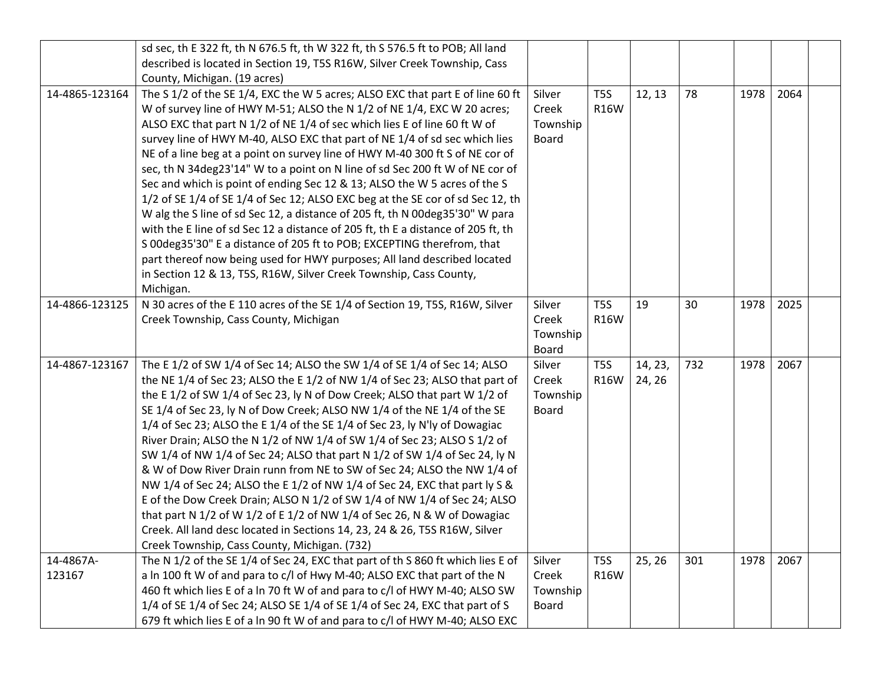|                | sd sec, th E 322 ft, th N 676.5 ft, th W 322 ft, th S 576.5 ft to POB; All land  |          |                  |         |     |      |      |  |
|----------------|----------------------------------------------------------------------------------|----------|------------------|---------|-----|------|------|--|
|                | described is located in Section 19, T5S R16W, Silver Creek Township, Cass        |          |                  |         |     |      |      |  |
|                | County, Michigan. (19 acres)                                                     |          |                  |         |     |      |      |  |
| 14-4865-123164 | The S 1/2 of the SE 1/4, EXC the W 5 acres; ALSO EXC that part E of line 60 ft   | Silver   | T <sub>5</sub> S | 12, 13  | 78  | 1978 | 2064 |  |
|                | W of survey line of HWY M-51; ALSO the N 1/2 of NE 1/4, EXC W 20 acres;          | Creek    | <b>R16W</b>      |         |     |      |      |  |
|                | ALSO EXC that part N 1/2 of NE 1/4 of sec which lies E of line 60 ft W of        | Township |                  |         |     |      |      |  |
|                | survey line of HWY M-40, ALSO EXC that part of NE 1/4 of sd sec which lies       | Board    |                  |         |     |      |      |  |
|                | NE of a line beg at a point on survey line of HWY M-40 300 ft S of NE cor of     |          |                  |         |     |      |      |  |
|                | sec, th N 34deg23'14" W to a point on N line of sd Sec 200 ft W of NE cor of     |          |                  |         |     |      |      |  |
|                | Sec and which is point of ending Sec 12 & 13; ALSO the W 5 acres of the S        |          |                  |         |     |      |      |  |
|                | 1/2 of SE 1/4 of SE 1/4 of Sec 12; ALSO EXC beg at the SE cor of sd Sec 12, th   |          |                  |         |     |      |      |  |
|                | W alg the S line of sd Sec 12, a distance of 205 ft, th N 00deg35'30" W para     |          |                  |         |     |      |      |  |
|                | with the E line of sd Sec 12 a distance of 205 ft, th E a distance of 205 ft, th |          |                  |         |     |      |      |  |
|                | S 00deg35'30" E a distance of 205 ft to POB; EXCEPTING therefrom, that           |          |                  |         |     |      |      |  |
|                | part thereof now being used for HWY purposes; All land described located         |          |                  |         |     |      |      |  |
|                | in Section 12 & 13, T5S, R16W, Silver Creek Township, Cass County,               |          |                  |         |     |      |      |  |
|                | Michigan.                                                                        |          |                  |         |     |      |      |  |
| 14-4866-123125 | N 30 acres of the E 110 acres of the SE 1/4 of Section 19, T5S, R16W, Silver     | Silver   | T <sub>5</sub> S | 19      | 30  | 1978 | 2025 |  |
|                | Creek Township, Cass County, Michigan                                            | Creek    | <b>R16W</b>      |         |     |      |      |  |
|                |                                                                                  | Township |                  |         |     |      |      |  |
|                |                                                                                  | Board    |                  |         |     |      |      |  |
| 14-4867-123167 | The E 1/2 of SW 1/4 of Sec 14; ALSO the SW 1/4 of SE 1/4 of Sec 14; ALSO         | Silver   | T <sub>5</sub> S | 14, 23, | 732 | 1978 | 2067 |  |
|                | the NE 1/4 of Sec 23; ALSO the E 1/2 of NW 1/4 of Sec 23; ALSO that part of      | Creek    | <b>R16W</b>      | 24, 26  |     |      |      |  |
|                | the E 1/2 of SW 1/4 of Sec 23, ly N of Dow Creek; ALSO that part W 1/2 of        | Township |                  |         |     |      |      |  |
|                | SE 1/4 of Sec 23, ly N of Dow Creek; ALSO NW 1/4 of the NE 1/4 of the SE         | Board    |                  |         |     |      |      |  |
|                | 1/4 of Sec 23; ALSO the E 1/4 of the SE 1/4 of Sec 23, ly N'ly of Dowagiac       |          |                  |         |     |      |      |  |
|                | River Drain; ALSO the N 1/2 of NW 1/4 of SW 1/4 of Sec 23; ALSO S 1/2 of         |          |                  |         |     |      |      |  |
|                | SW 1/4 of NW 1/4 of Sec 24; ALSO that part N 1/2 of SW 1/4 of Sec 24, ly N       |          |                  |         |     |      |      |  |
|                | & W of Dow River Drain runn from NE to SW of Sec 24; ALSO the NW 1/4 of          |          |                  |         |     |      |      |  |
|                | NW 1/4 of Sec 24; ALSO the E 1/2 of NW 1/4 of Sec 24, EXC that part ly S &       |          |                  |         |     |      |      |  |
|                | E of the Dow Creek Drain; ALSO N 1/2 of SW 1/4 of NW 1/4 of Sec 24; ALSO         |          |                  |         |     |      |      |  |
|                | that part N 1/2 of W 1/2 of E 1/2 of NW 1/4 of Sec 26, N & W of Dowagiac         |          |                  |         |     |      |      |  |
|                | Creek. All land desc located in Sections 14, 23, 24 & 26, T5S R16W, Silver       |          |                  |         |     |      |      |  |
|                | Creek Township, Cass County, Michigan. (732)                                     |          |                  |         |     |      |      |  |
| 14-4867A-      | The N 1/2 of the SE 1/4 of Sec 24, EXC that part of th S 860 ft which lies E of  | Silver   | T <sub>5</sub> S | 25, 26  | 301 | 1978 | 2067 |  |
| 123167         | a In 100 ft W of and para to c/l of Hwy M-40; ALSO EXC that part of the N        | Creek    | <b>R16W</b>      |         |     |      |      |  |
|                | 460 ft which lies E of a ln 70 ft W of and para to c/l of HWY M-40; ALSO SW      | Township |                  |         |     |      |      |  |
|                | 1/4 of SE 1/4 of Sec 24; ALSO SE 1/4 of SE 1/4 of Sec 24, EXC that part of S     | Board    |                  |         |     |      |      |  |
|                | 679 ft which lies E of a ln 90 ft W of and para to c/l of HWY M-40; ALSO EXC     |          |                  |         |     |      |      |  |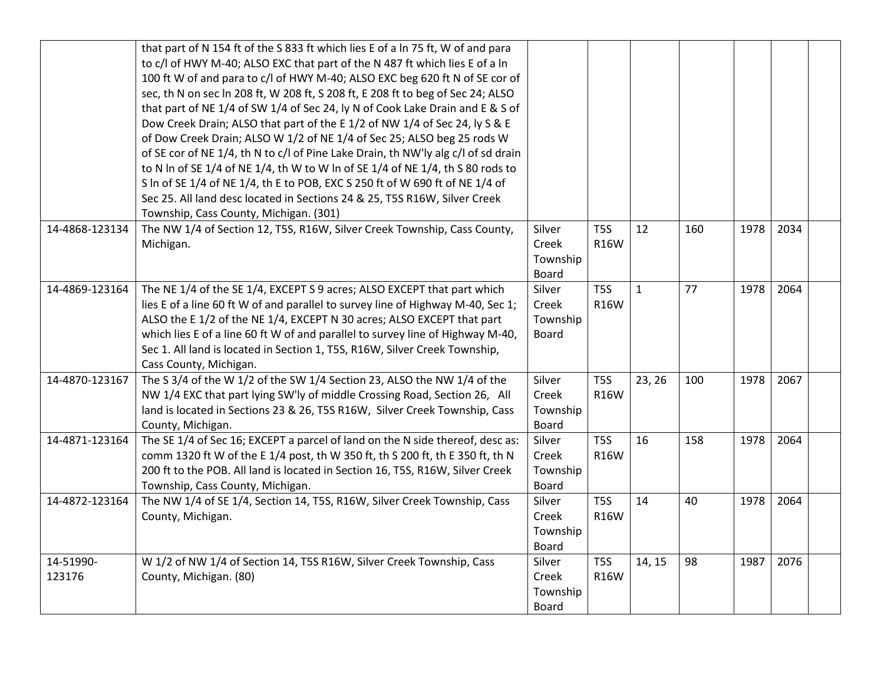|                     | that part of N 154 ft of the S 833 ft which lies E of a ln 75 ft, W of and para<br>to c/l of HWY M-40; ALSO EXC that part of the N 487 ft which lies E of a ln<br>100 ft W of and para to c/l of HWY M-40; ALSO EXC beg 620 ft N of SE cor of<br>sec, th N on sec In 208 ft, W 208 ft, S 208 ft, E 208 ft to beg of Sec 24; ALSO<br>that part of NE 1/4 of SW 1/4 of Sec 24, ly N of Cook Lake Drain and E & S of<br>Dow Creek Drain; ALSO that part of the E 1/2 of NW 1/4 of Sec 24, ly S & E<br>of Dow Creek Drain; ALSO W 1/2 of NE 1/4 of Sec 25; ALSO beg 25 rods W<br>of SE cor of NE 1/4, th N to c/l of Pine Lake Drain, th NW'ly alg c/l of sd drain<br>to N In of SE 1/4 of NE 1/4, th W to W In of SE 1/4 of NE 1/4, th S 80 rods to<br>S In of SE 1/4 of NE 1/4, th E to POB, EXC S 250 ft of W 690 ft of NE 1/4 of<br>Sec 25. All land desc located in Sections 24 & 25, T5S R16W, Silver Creek<br>Township, Cass County, Michigan. (301) |                                             |                                 |              |     |      |      |  |
|---------------------|---------------------------------------------------------------------------------------------------------------------------------------------------------------------------------------------------------------------------------------------------------------------------------------------------------------------------------------------------------------------------------------------------------------------------------------------------------------------------------------------------------------------------------------------------------------------------------------------------------------------------------------------------------------------------------------------------------------------------------------------------------------------------------------------------------------------------------------------------------------------------------------------------------------------------------------------------------|---------------------------------------------|---------------------------------|--------------|-----|------|------|--|
| 14-4868-123134      | The NW 1/4 of Section 12, T5S, R16W, Silver Creek Township, Cass County,<br>Michigan.                                                                                                                                                                                                                                                                                                                                                                                                                                                                                                                                                                                                                                                                                                                                                                                                                                                                   | Silver<br>Creek<br>Township<br><b>Board</b> | T <sub>5</sub> S<br><b>R16W</b> | 12           | 160 | 1978 | 2034 |  |
| 14-4869-123164      | The NE 1/4 of the SE 1/4, EXCEPT S 9 acres; ALSO EXCEPT that part which<br>lies E of a line 60 ft W of and parallel to survey line of Highway M-40, Sec 1;<br>ALSO the E 1/2 of the NE 1/4, EXCEPT N 30 acres; ALSO EXCEPT that part<br>which lies E of a line 60 ft W of and parallel to survey line of Highway M-40,<br>Sec 1. All land is located in Section 1, T5S, R16W, Silver Creek Township,<br>Cass County, Michigan.                                                                                                                                                                                                                                                                                                                                                                                                                                                                                                                          | Silver<br>Creek<br>Township<br><b>Board</b> | T <sub>5</sub> S<br><b>R16W</b> | $\mathbf{1}$ | 77  | 1978 | 2064 |  |
| 14-4870-123167      | The S 3/4 of the W 1/2 of the SW 1/4 Section 23, ALSO the NW 1/4 of the<br>NW 1/4 EXC that part lying SW'ly of middle Crossing Road, Section 26, All<br>land is located in Sections 23 & 26, T5S R16W, Silver Creek Township, Cass<br>County, Michigan.                                                                                                                                                                                                                                                                                                                                                                                                                                                                                                                                                                                                                                                                                                 | Silver<br>Creek<br>Township<br>Board        | T <sub>5</sub> S<br><b>R16W</b> | 23, 26       | 100 | 1978 | 2067 |  |
| 14-4871-123164      | The SE 1/4 of Sec 16; EXCEPT a parcel of land on the N side thereof, desc as:<br>comm 1320 ft W of the E 1/4 post, th W 350 ft, th S 200 ft, th E 350 ft, th N<br>200 ft to the POB. All land is located in Section 16, T5S, R16W, Silver Creek<br>Township, Cass County, Michigan.                                                                                                                                                                                                                                                                                                                                                                                                                                                                                                                                                                                                                                                                     | Silver<br>Creek<br>Township<br><b>Board</b> | T <sub>5</sub> S<br><b>R16W</b> | 16           | 158 | 1978 | 2064 |  |
| 14-4872-123164      | The NW 1/4 of SE 1/4, Section 14, T5S, R16W, Silver Creek Township, Cass<br>County, Michigan.                                                                                                                                                                                                                                                                                                                                                                                                                                                                                                                                                                                                                                                                                                                                                                                                                                                           | Silver<br>Creek<br>Township<br>Board        | T <sub>5</sub> S<br><b>R16W</b> | 14           | 40  | 1978 | 2064 |  |
| 14-51990-<br>123176 | W 1/2 of NW 1/4 of Section 14, T5S R16W, Silver Creek Township, Cass<br>County, Michigan. (80)                                                                                                                                                                                                                                                                                                                                                                                                                                                                                                                                                                                                                                                                                                                                                                                                                                                          | Silver<br>Creek<br>Township<br>Board        | T <sub>5</sub> S<br><b>R16W</b> | 14, 15       | 98  | 1987 | 2076 |  |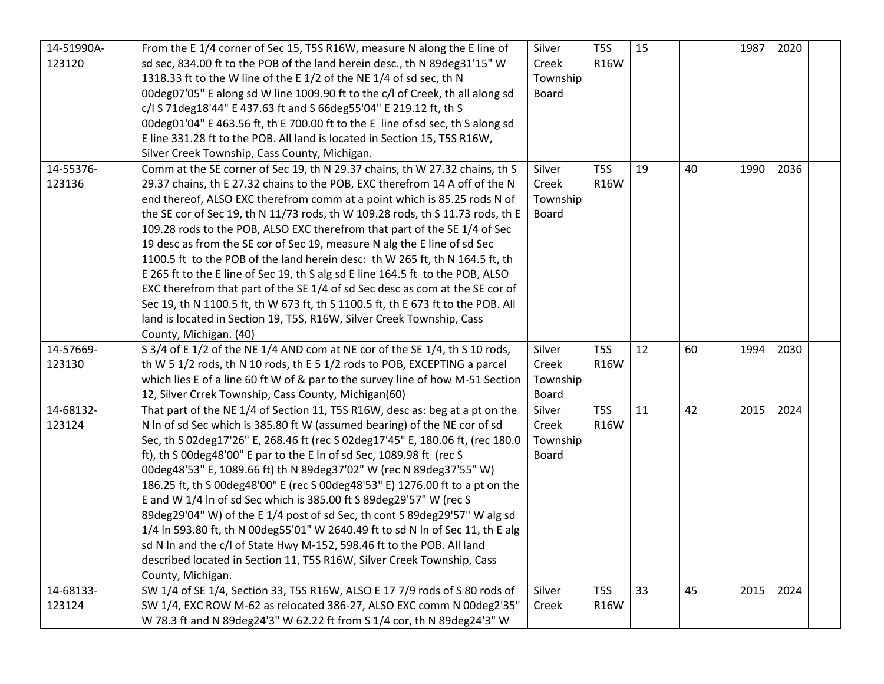| 14-51990A- | From the E 1/4 corner of Sec 15, T5S R16W, measure N along the E line of         | Silver   | T <sub>5</sub> S | 15 |    | 1987 | 2020 |
|------------|----------------------------------------------------------------------------------|----------|------------------|----|----|------|------|
| 123120     | sd sec, 834.00 ft to the POB of the land herein desc., th N 89deg31'15" W        | Creek    | <b>R16W</b>      |    |    |      |      |
|            | 1318.33 ft to the W line of the E 1/2 of the NE 1/4 of sd sec, th N              | Township |                  |    |    |      |      |
|            | 00deg07'05" E along sd W line 1009.90 ft to the c/l of Creek, th all along sd    | Board    |                  |    |    |      |      |
|            | c/l S 71deg18'44" E 437.63 ft and S 66deg55'04" E 219.12 ft, th S                |          |                  |    |    |      |      |
|            | 00deg01'04" E 463.56 ft, th E 700.00 ft to the E line of sd sec, th S along sd   |          |                  |    |    |      |      |
|            | E line 331.28 ft to the POB. All land is located in Section 15, T5S R16W,        |          |                  |    |    |      |      |
|            | Silver Creek Township, Cass County, Michigan.                                    |          |                  |    |    |      |      |
| 14-55376-  | Comm at the SE corner of Sec 19, th N 29.37 chains, th W 27.32 chains, th S      | Silver   | T <sub>5</sub> S | 19 | 40 | 1990 | 2036 |
| 123136     | 29.37 chains, th E 27.32 chains to the POB, EXC therefrom 14 A off of the N      | Creek    | <b>R16W</b>      |    |    |      |      |
|            | end thereof, ALSO EXC therefrom comm at a point which is 85.25 rods N of         | Township |                  |    |    |      |      |
|            | the SE cor of Sec 19, th N 11/73 rods, th W 109.28 rods, th S 11.73 rods, th E   | Board    |                  |    |    |      |      |
|            | 109.28 rods to the POB, ALSO EXC therefrom that part of the SE 1/4 of Sec        |          |                  |    |    |      |      |
|            | 19 desc as from the SE cor of Sec 19, measure N alg the E line of sd Sec         |          |                  |    |    |      |      |
|            | 1100.5 ft to the POB of the land herein desc: th W 265 ft, th N 164.5 ft, th     |          |                  |    |    |      |      |
|            | E 265 ft to the E line of Sec 19, th S alg sd E line 164.5 ft to the POB, ALSO   |          |                  |    |    |      |      |
|            | EXC therefrom that part of the SE 1/4 of sd Sec desc as com at the SE cor of     |          |                  |    |    |      |      |
|            | Sec 19, th N 1100.5 ft, th W 673 ft, th S 1100.5 ft, th E 673 ft to the POB. All |          |                  |    |    |      |      |
|            | land is located in Section 19, T5S, R16W, Silver Creek Township, Cass            |          |                  |    |    |      |      |
|            | County, Michigan. (40)                                                           |          |                  |    |    |      |      |
| 14-57669-  | S 3/4 of E 1/2 of the NE 1/4 AND com at NE cor of the SE 1/4, th S 10 rods,      | Silver   | T <sub>5</sub> S | 12 | 60 | 1994 | 2030 |
| 123130     | th W 5 1/2 rods, th N 10 rods, th E 5 1/2 rods to POB, EXCEPTING a parcel        | Creek    | <b>R16W</b>      |    |    |      |      |
|            | which lies E of a line 60 ft W of & par to the survey line of how M-51 Section   | Township |                  |    |    |      |      |
|            | 12, Silver Crrek Township, Cass County, Michigan(60)                             | Board    |                  |    |    |      |      |
| 14-68132-  | That part of the NE 1/4 of Section 11, T5S R16W, desc as: beg at a pt on the     | Silver   | T <sub>5</sub> S | 11 | 42 | 2015 | 2024 |
| 123124     | N In of sd Sec which is 385.80 ft W (assumed bearing) of the NE cor of sd        | Creek    | <b>R16W</b>      |    |    |      |      |
|            | Sec, th S 02deg17'26" E, 268.46 ft (rec S 02deg17'45" E, 180.06 ft, (rec 180.0   | Township |                  |    |    |      |      |
|            | ft), th S 00deg48'00" E par to the E In of sd Sec, 1089.98 ft (rec S             | Board    |                  |    |    |      |      |
|            | 00deg48'53" E, 1089.66 ft) th N 89deg37'02" W (rec N 89deg37'55" W)              |          |                  |    |    |      |      |
|            | 186.25 ft, th S 00deg48'00" E (rec S 00deg48'53" E) 1276.00 ft to a pt on the    |          |                  |    |    |      |      |
|            | E and W 1/4 In of sd Sec which is 385.00 ft S 89deg29'57" W (rec S               |          |                  |    |    |      |      |
|            | 89deg29'04" W) of the E 1/4 post of sd Sec, th cont S 89deg29'57" W alg sd       |          |                  |    |    |      |      |
|            | 1/4 In 593.80 ft, th N 00deg55'01" W 2640.49 ft to sd N In of Sec 11, th E alg   |          |                  |    |    |      |      |
|            | sd N In and the c/l of State Hwy M-152, 598.46 ft to the POB. All land           |          |                  |    |    |      |      |
|            | described located in Section 11, T5S R16W, Silver Creek Township, Cass           |          |                  |    |    |      |      |
|            | County, Michigan.                                                                |          |                  |    |    |      |      |
| 14-68133-  | SW 1/4 of SE 1/4, Section 33, T5S R16W, ALSO E 17 7/9 rods of S 80 rods of       | Silver   | T <sub>5</sub> S | 33 | 45 | 2015 | 2024 |
| 123124     | SW 1/4, EXC ROW M-62 as relocated 386-27, ALSO EXC comm N 00deg2'35"             | Creek    | <b>R16W</b>      |    |    |      |      |
|            | W 78.3 ft and N 89deg24'3" W 62.22 ft from S 1/4 cor, th N 89deg24'3" W          |          |                  |    |    |      |      |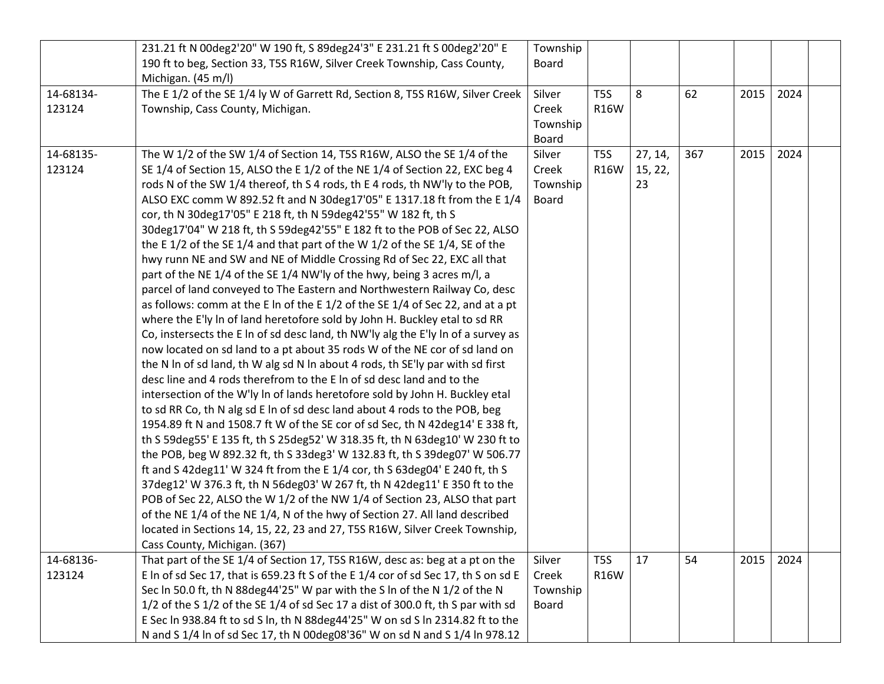|           | 231.21 ft N 00deg2'20" W 190 ft, S 89deg24'3" E 231.21 ft S 00deg2'20" E           | Township     |                  |         |     |      |      |  |
|-----------|------------------------------------------------------------------------------------|--------------|------------------|---------|-----|------|------|--|
|           | 190 ft to beg, Section 33, T5S R16W, Silver Creek Township, Cass County,           | <b>Board</b> |                  |         |     |      |      |  |
|           | Michigan. (45 m/l)                                                                 |              |                  |         |     |      |      |  |
| 14-68134- | The E 1/2 of the SE 1/4 ly W of Garrett Rd, Section 8, T5S R16W, Silver Creek      | Silver       | T <sub>5</sub> S | 8       | 62  | 2015 | 2024 |  |
| 123124    | Township, Cass County, Michigan.                                                   | Creek        | <b>R16W</b>      |         |     |      |      |  |
|           |                                                                                    | Township     |                  |         |     |      |      |  |
|           |                                                                                    | <b>Board</b> |                  |         |     |      |      |  |
| 14-68135- | The W 1/2 of the SW 1/4 of Section 14, T5S R16W, ALSO the SE 1/4 of the            | Silver       | T <sub>5</sub> S | 27, 14, | 367 | 2015 | 2024 |  |
| 123124    | SE 1/4 of Section 15, ALSO the E 1/2 of the NE 1/4 of Section 22, EXC beg 4        | Creek        | R16W             | 15, 22, |     |      |      |  |
|           | rods N of the SW 1/4 thereof, th S 4 rods, th E 4 rods, th NW'ly to the POB,       | Township     |                  | 23      |     |      |      |  |
|           | ALSO EXC comm W 892.52 ft and N 30deg17'05" E 1317.18 ft from the E 1/4            | Board        |                  |         |     |      |      |  |
|           | cor, th N 30deg17'05" E 218 ft, th N 59deg42'55" W 182 ft, th S                    |              |                  |         |     |      |      |  |
|           | 30deg17'04" W 218 ft, th S 59deg42'55" E 182 ft to the POB of Sec 22, ALSO         |              |                  |         |     |      |      |  |
|           | the E 1/2 of the SE 1/4 and that part of the W 1/2 of the SE 1/4, SE of the        |              |                  |         |     |      |      |  |
|           | hwy runn NE and SW and NE of Middle Crossing Rd of Sec 22, EXC all that            |              |                  |         |     |      |      |  |
|           | part of the NE 1/4 of the SE 1/4 NW'ly of the hwy, being 3 acres m/l, a            |              |                  |         |     |      |      |  |
|           | parcel of land conveyed to The Eastern and Northwestern Railway Co, desc           |              |                  |         |     |      |      |  |
|           | as follows: comm at the E In of the E 1/2 of the SE 1/4 of Sec 22, and at a pt     |              |                  |         |     |      |      |  |
|           | where the E'ly In of land heretofore sold by John H. Buckley etal to sd RR         |              |                  |         |     |      |      |  |
|           | Co, instersects the E In of sd desc land, th NW'ly alg the E'ly In of a survey as  |              |                  |         |     |      |      |  |
|           | now located on sd land to a pt about 35 rods W of the NE cor of sd land on         |              |                  |         |     |      |      |  |
|           | the N In of sd land, th W alg sd N In about 4 rods, th SE'ly par with sd first     |              |                  |         |     |      |      |  |
|           | desc line and 4 rods therefrom to the E In of sd desc land and to the              |              |                  |         |     |      |      |  |
|           | intersection of the W'ly In of lands heretofore sold by John H. Buckley etal       |              |                  |         |     |      |      |  |
|           | to sd RR Co, th N alg sd E In of sd desc land about 4 rods to the POB, beg         |              |                  |         |     |      |      |  |
|           | 1954.89 ft N and 1508.7 ft W of the SE cor of sd Sec, th N 42deg14' E 338 ft,      |              |                  |         |     |      |      |  |
|           | th S 59deg55' E 135 ft, th S 25deg52' W 318.35 ft, th N 63deg10' W 230 ft to       |              |                  |         |     |      |      |  |
|           | the POB, beg W 892.32 ft, th S 33deg3' W 132.83 ft, th S 39deg07' W 506.77         |              |                  |         |     |      |      |  |
|           | ft and S 42deg11' W 324 ft from the E 1/4 cor, th S 63deg04' E 240 ft, th S        |              |                  |         |     |      |      |  |
|           | 37 deg 12' W 376.3 ft, th N 56 deg 03' W 267 ft, th N 42 deg 11' E 350 ft to the   |              |                  |         |     |      |      |  |
|           | POB of Sec 22, ALSO the W 1/2 of the NW 1/4 of Section 23, ALSO that part          |              |                  |         |     |      |      |  |
|           | of the NE 1/4 of the NE 1/4, N of the hwy of Section 27. All land described        |              |                  |         |     |      |      |  |
|           | located in Sections 14, 15, 22, 23 and 27, T5S R16W, Silver Creek Township,        |              |                  |         |     |      |      |  |
|           | Cass County, Michigan. (367)                                                       |              |                  |         |     |      |      |  |
| 14-68136- | That part of the SE 1/4 of Section 17, T5S R16W, desc as: beg at a pt on the       | Silver       | T <sub>5</sub> S | 17      | 54  | 2015 | 2024 |  |
| 123124    | E In of sd Sec 17, that is 659.23 ft S of the E 1/4 cor of sd Sec 17, th S on sd E | Creek        | <b>R16W</b>      |         |     |      |      |  |
|           | Sec In 50.0 ft, th N 88deg44'25" W par with the S In of the N 1/2 of the N         | Township     |                  |         |     |      |      |  |
|           | 1/2 of the S 1/2 of the SE 1/4 of sd Sec 17 a dist of 300.0 ft, th S par with sd   | <b>Board</b> |                  |         |     |      |      |  |
|           | E Sec In 938.84 ft to sd S In, th N 88deg44'25" W on sd S In 2314.82 ft to the     |              |                  |         |     |      |      |  |
|           | N and S 1/4 In of sd Sec 17, th N 00deg08'36" W on sd N and S 1/4 In 978.12        |              |                  |         |     |      |      |  |